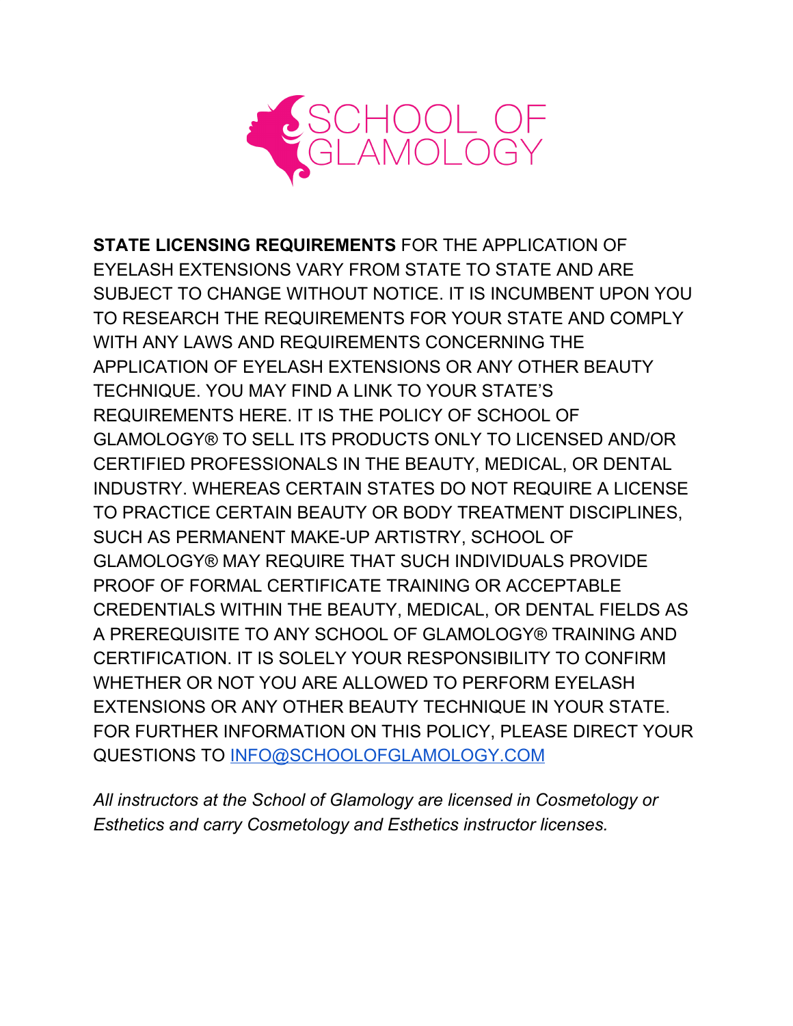

**STATE LICENSING REQUIREMENTS** FOR THE APPLICATION OF EYELASH EXTENSIONS VARY FROM STATE TO STATE AND ARE SUBJECT TO CHANGE WITHOUT NOTICE. IT IS INCUMBENT UPON YOU TO RESEARCH THE REQUIREMENTS FOR YOUR STATE AND COMPLY WITH ANY LAWS AND REQUIREMENTS CONCERNING THE APPLICATION OF EYELASH EXTENSIONS OR ANY OTHER BEAUTY TECHNIQUE. YOU MAY FIND A LINK TO YOUR STATE'S REQUIREMENTS HERE. IT IS THE POLICY OF SCHOOL OF GLAMOLOGY® TO SELL ITS PRODUCTS ONLY TO LICENSED AND/OR CERTIFIED PROFESSIONALS IN THE BEAUTY, MEDICAL, OR DENTAL INDUSTRY. WHEREAS CERTAIN STATES DO NOT REQUIRE A LICENSE TO PRACTICE CERTAIN BEAUTY OR BODY TREATMENT DISCIPLINES, SUCH AS PERMANENT MAKE-UP ARTISTRY, SCHOOL OF GLAMOLOGY® MAY REQUIRE THAT SUCH INDIVIDUALS PROVIDE PROOF OF FORMAL CERTIFICATE TRAINING OR ACCEPTABLE CREDENTIALS WITHIN THE BEAUTY, MEDICAL, OR DENTAL FIELDS AS A PREREQUISITE TO ANY SCHOOL OF GLAMOLOGY® TRAINING AND CERTIFICATION. IT IS SOLELY YOUR RESPONSIBILITY TO CONFIRM WHETHER OR NOT YOU ARE ALLOWED TO PERFORM EYELASH EXTENSIONS OR ANY OTHER BEAUTY TECHNIQUE IN YOUR STATE. FOR FURTHER INFORMATION ON THIS POLICY, PLEASE DIRECT YOUR QUESTIONS TO [INFO@SCHOOLOFGLAMOLOGY.COM](mailto:INFO@SCHOOLOFGLAMOLOGY.COM)

*All instructors at the School of Glamology are licensed in Cosmetology or Esthetics and carry Cosmetology and Esthetics instructor licenses.*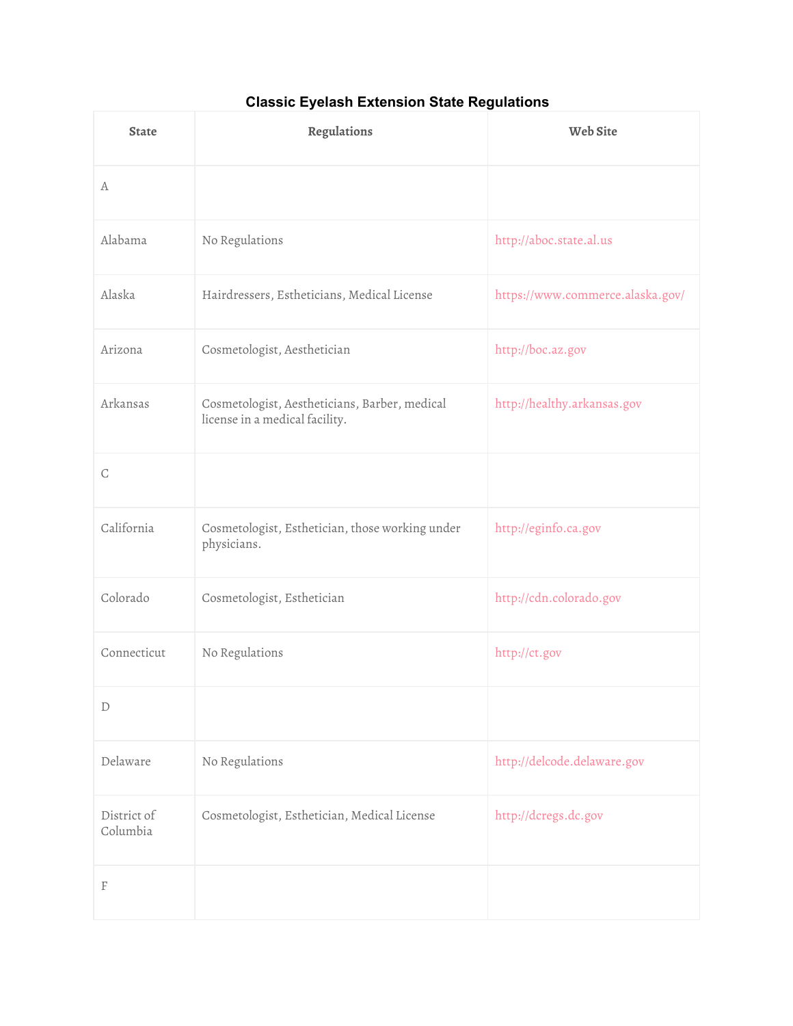## **Classic Eyelash Extension State Regulations**

| <b>State</b>            | Regulations                                                                     | <b>Web Site</b>                  |
|-------------------------|---------------------------------------------------------------------------------|----------------------------------|
| A                       |                                                                                 |                                  |
| Alabama                 | No Regulations                                                                  | http://aboc.state.al.us          |
| Alaska                  | Hairdressers, Estheticians, Medical License                                     | https://www.commerce.alaska.gov/ |
| Arizona                 | Cosmetologist, Aesthetician                                                     | http://boc.az.gov                |
| Arkansas                | Cosmetologist, Aestheticians, Barber, medical<br>license in a medical facility. | http://healthy.arkansas.gov      |
| $\mathsf C$             |                                                                                 |                                  |
| California              | Cosmetologist, Esthetician, those working under<br>physicians.                  | http://eginfo.ca.gov             |
| Colorado                | Cosmetologist, Esthetician                                                      | http://cdn.colorado.gov          |
| Connecticut             | No Regulations                                                                  | http://ct.gov                    |
| $\mathbb D$             |                                                                                 |                                  |
| Delaware                | No Regulations                                                                  | http://delcode.delaware.gov      |
| District of<br>Columbia | Cosmetologist, Esthetician, Medical License                                     | http://dcregs.dc.gov             |
| F                       |                                                                                 |                                  |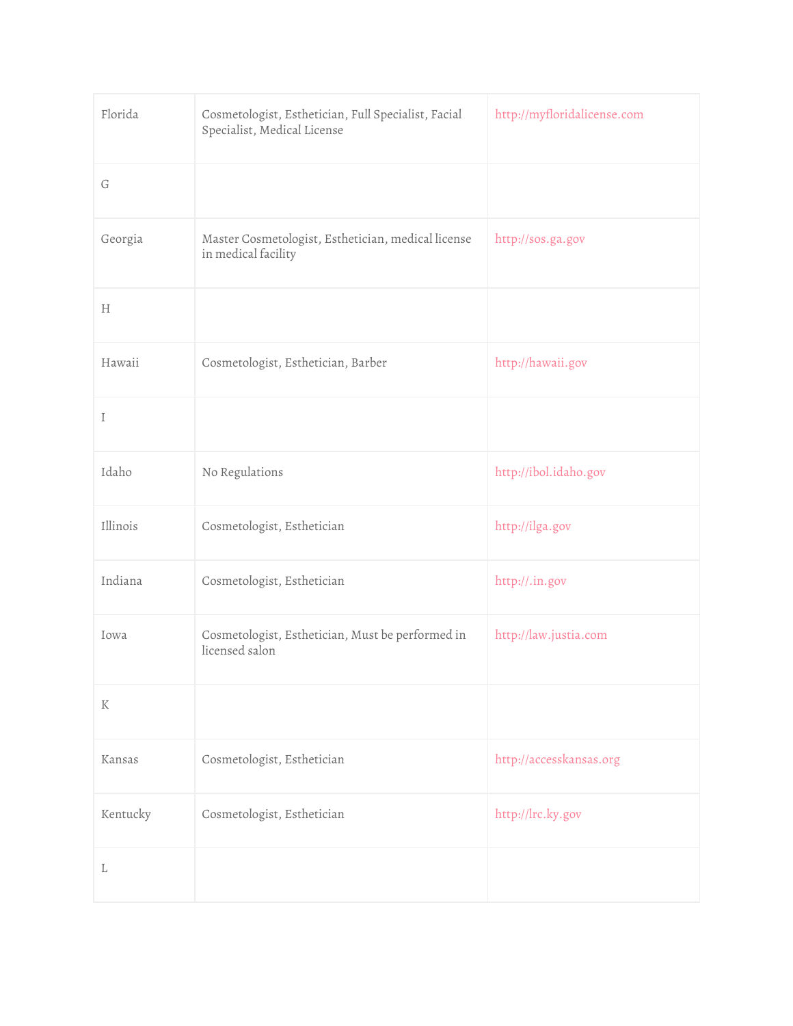| Florida  | Cosmetologist, Esthetician, Full Specialist, Facial<br>Specialist, Medical License | http://myfloridalicense.com |
|----------|------------------------------------------------------------------------------------|-----------------------------|
| G        |                                                                                    |                             |
| Georgia  | Master Cosmetologist, Esthetician, medical license<br>in medical facility          | http://sos.ga.gov           |
| Н        |                                                                                    |                             |
| Hawaii   | Cosmetologist, Esthetician, Barber                                                 | http://hawaii.gov           |
| I        |                                                                                    |                             |
| Idaho    | No Regulations                                                                     | http://ibol.idaho.gov       |
| Illinois | Cosmetologist, Esthetician                                                         | http://ilga.gov             |
| Indiana  | Cosmetologist, Esthetician                                                         | http://.in.gov              |
| Iowa     | Cosmetologist, Esthetician, Must be performed in<br>licensed salon                 | http://law.justia.com       |
| $\rm K$  |                                                                                    |                             |
| Kansas   | Cosmetologist, Esthetician                                                         | http://accesskansas.org     |
| Kentucky | Cosmetologist, Esthetician                                                         | http://lrc.ky.gov           |
| L        |                                                                                    |                             |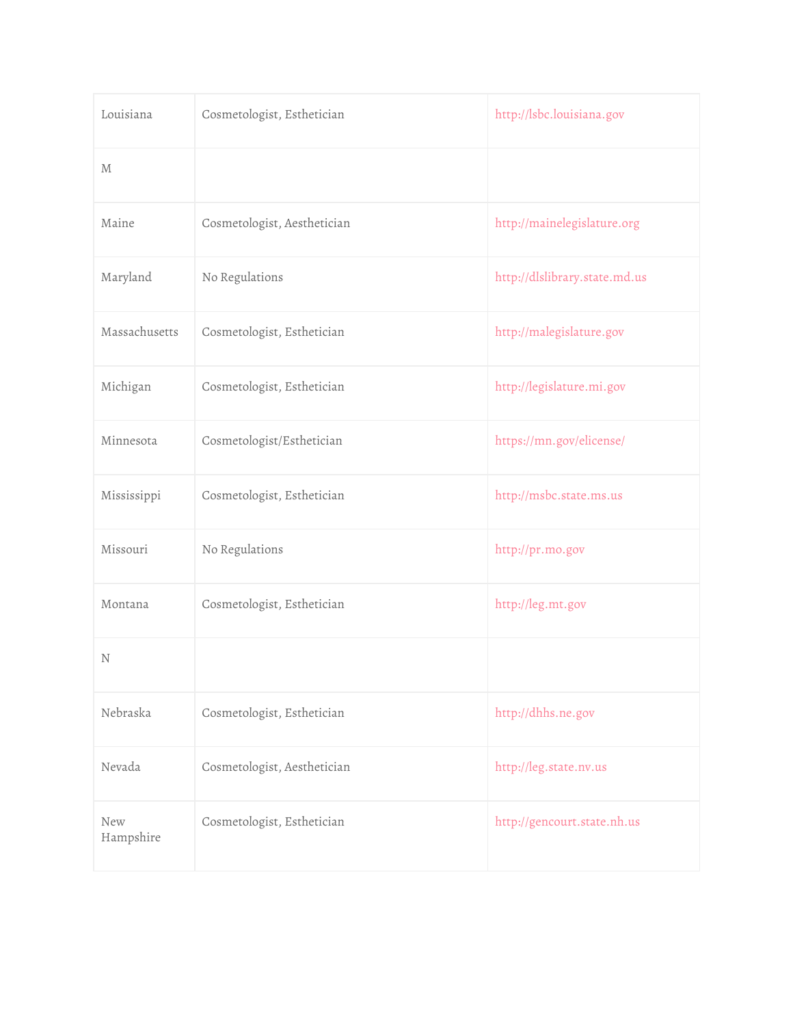| Louisiana               | Cosmetologist, Esthetician  | http://lsbc.louisiana.gov     |
|-------------------------|-----------------------------|-------------------------------|
| М                       |                             |                               |
| Maine                   | Cosmetologist, Aesthetician | http://mainelegislature.org   |
| Maryland                | No Regulations              | http://dlslibrary.state.md.us |
| Massachusetts           | Cosmetologist, Esthetician  | http://malegislature.gov      |
| Michigan                | Cosmetologist, Esthetician  | http://legislature.mi.gov     |
| Minnesota               | Cosmetologist/Esthetician   | https://mn.gov/elicense/      |
| Mississippi             | Cosmetologist, Esthetician  | http://msbc.state.ms.us       |
| Missouri                | No Regulations              | http://pr.mo.gov              |
| Montana                 | Cosmetologist, Esthetician  | http://leg.mt.gov             |
| N                       |                             |                               |
| Nebraska                | Cosmetologist, Esthetician  | http://dhhs.ne.gov            |
| Nevada                  | Cosmetologist, Aesthetician | http://leg.state.nv.us        |
| <b>New</b><br>Hampshire | Cosmetologist, Esthetician  | http://gencourt.state.nh.us   |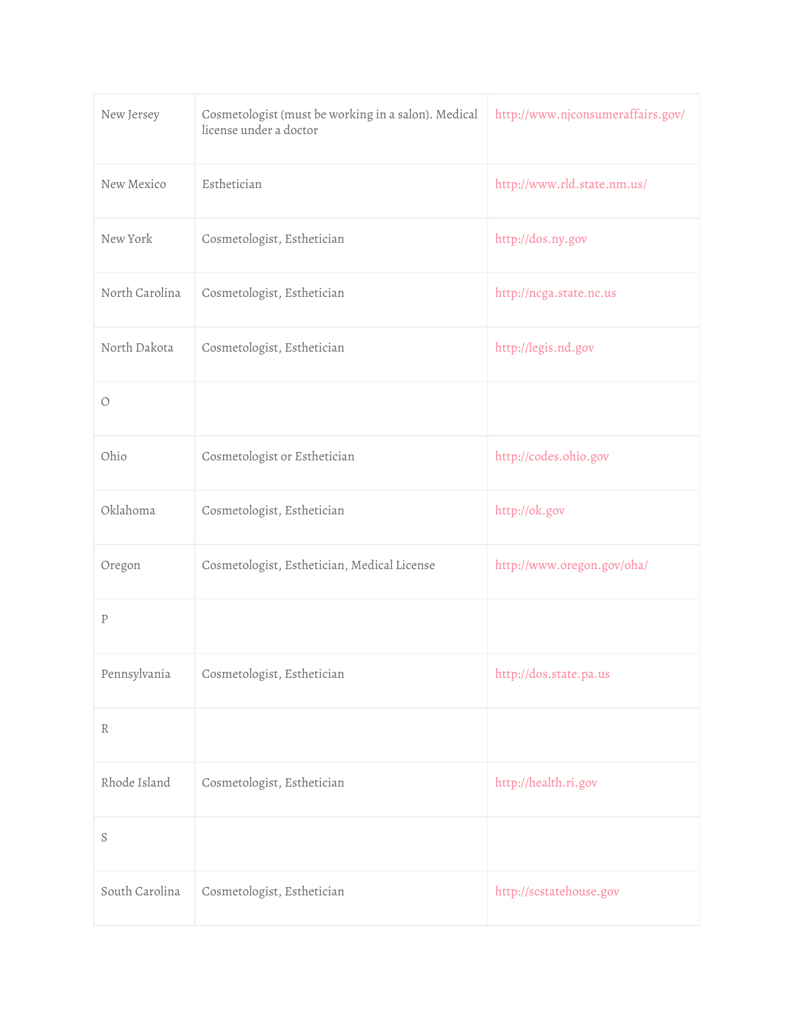| New Jersey     | Cosmetologist (must be working in a salon). Medical<br>license under a doctor | http://www.njconsumeraffairs.gov/ |
|----------------|-------------------------------------------------------------------------------|-----------------------------------|
| New Mexico     | Esthetician                                                                   | http://www.rld.state.nm.us/       |
| New York       | Cosmetologist, Esthetician                                                    | http://dos.ny.gov                 |
| North Carolina | Cosmetologist, Esthetician                                                    | http://ncga.state.nc.us           |
| North Dakota   | Cosmetologist, Esthetician                                                    | http://legis.nd.gov               |
| $\circ$        |                                                                               |                                   |
| Ohio           | Cosmetologist or Esthetician                                                  | http://codes.ohio.gov             |
| Oklahoma       | Cosmetologist, Esthetician                                                    | http://ok.gov                     |
| Oregon         | Cosmetologist, Esthetician, Medical License                                   | http://www.oregon.gov/oha/        |
| ${\bf P}$      |                                                                               |                                   |
| Pennsylvania   | Cosmetologist, Esthetician                                                    | http://dos.state.pa.us            |
| R              |                                                                               |                                   |
| Rhode Island   | Cosmetologist, Esthetician                                                    | http://health.ri.gov              |
| S              |                                                                               |                                   |
| South Carolina | Cosmetologist, Esthetician                                                    | http://scstatehouse.gov           |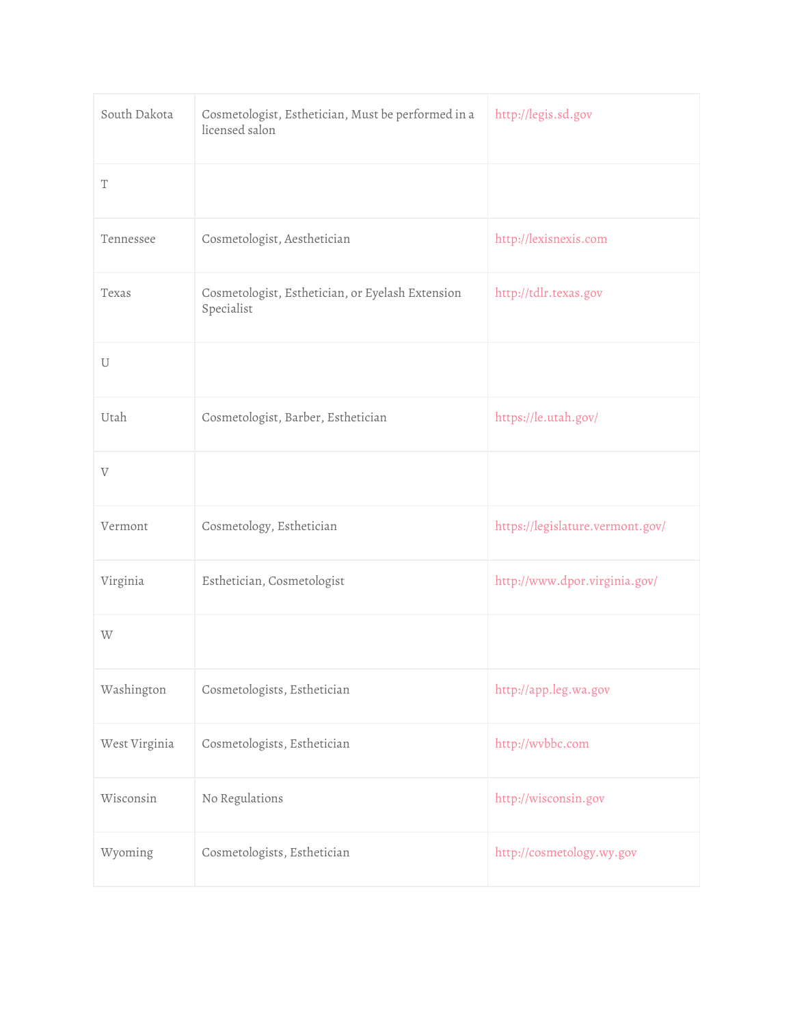| South Dakota          | Cosmetologist, Esthetician, Must be performed in a<br>licensed salon | http://legis.sd.gov              |
|-----------------------|----------------------------------------------------------------------|----------------------------------|
| $\mathbf T$           |                                                                      |                                  |
| Tennessee             | Cosmetologist, Aesthetician                                          | http://lexisnexis.com            |
| Texas                 | Cosmetologist, Esthetician, or Eyelash Extension<br>Specialist       | http://tdlr.texas.gov            |
| U                     |                                                                      |                                  |
| Utah                  | Cosmetologist, Barber, Esthetician                                   | https://le.utah.gov/             |
| $\boldsymbol{\nabla}$ |                                                                      |                                  |
| Vermont               | Cosmetology, Esthetician                                             | https://legislature.vermont.gov/ |
| Virginia              | Esthetician, Cosmetologist                                           | http://www.dpor.virginia.gov/    |
| W                     |                                                                      |                                  |
| Washington            | Cosmetologists, Esthetician                                          | http://app.leg.wa.gov            |
| West Virginia         | Cosmetologists, Esthetician                                          | http://wvbbc.com                 |
| Wisconsin             | No Regulations                                                       | http://wisconsin.gov             |
| Wyoming               | Cosmetologists, Esthetician                                          | http://cosmetology.wy.gov        |